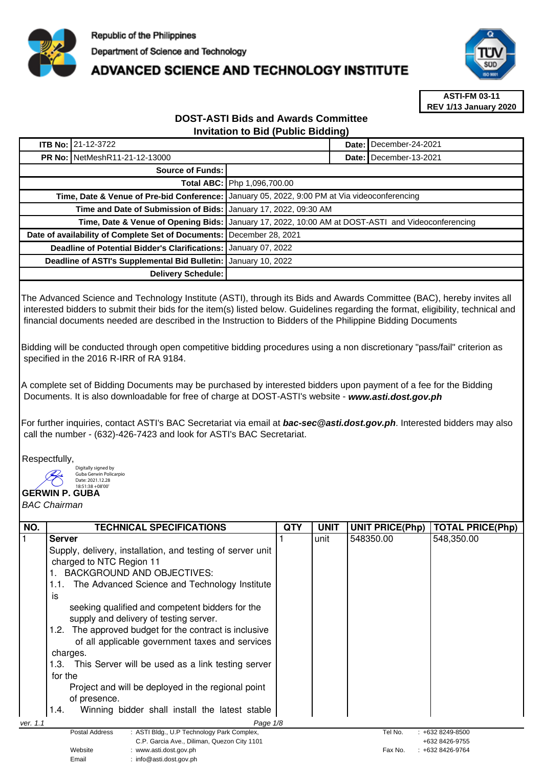

## **ADVANCED SCIENCE AND TECHNOLOGY INSTITUTE**



**ASTI-FM 03-11 REV 1/13 January 2020**

## **DOST-ASTI Bids and Awards Committee Invitation to Bid (Public Bidding)**

|                                                                    | <b>ITB No: 21-12-3722</b> |                                                                                                   |                          | Date: December-24-2021 |
|--------------------------------------------------------------------|---------------------------|---------------------------------------------------------------------------------------------------|--------------------------|------------------------|
| <b>PR No: NetMeshR11-21-12-13000</b>                               |                           |                                                                                                   | Date: I December-13-2021 |                        |
| Source of Funds:                                                   |                           |                                                                                                   |                          |                        |
|                                                                    |                           | Total ABC: Php 1,096,700.00                                                                       |                          |                        |
| Time, Date & Venue of Pre-bid Conference:                          |                           | January 05, 2022, 9:00 PM at Via videoconferencing                                                |                          |                        |
| Time and Date of Submission of Bids:   January 17, 2022, 09:30 AM  |                           |                                                                                                   |                          |                        |
|                                                                    |                           | Time, Date & Venue of Opening Bids: January 17, 2022, 10:00 AM at DOST-ASTI and Videoconferencing |                          |                        |
| Date of availability of Complete Set of Documents:                 |                           | December 28, 2021                                                                                 |                          |                        |
| Deadline of Potential Bidder's Clarifications:<br>January 07, 2022 |                           |                                                                                                   |                          |                        |
| Deadline of ASTI's Supplemental Bid Bulletin:<br>January 10, 2022  |                           |                                                                                                   |                          |                        |
| Delivery Schedule:                                                 |                           |                                                                                                   |                          |                        |

The Advanced Science and Technology Institute (ASTI), through its Bids and Awards Committee (BAC), hereby invites all interested bidders to submit their bids for the item(s) listed below. Guidelines regarding the format, eligibility, technical and financial documents needed are described in the Instruction to Bidders of the Philippine Bidding Documents

Bidding will be conducted through open competitive bidding procedures using a non discretionary "pass/fail" criterion as specified in the 2016 R-IRR of RA 9184.

A complete set of Bidding Documents may be purchased by interested bidders upon payment of a fee for the Bidding Documents. It is also downloadable for free of charge at DOST-ASTI's website - **www.asti.dost.gov.ph**

For further inquiries, contact ASTI's BAC Secretariat via email at **bac-sec@asti.dost.gov.ph**. Interested bidders may also call the number - (632)-426-7423 and look for ASTI's BAC Secretariat.

Respectfully,

Digitally signed by Guba Gerwin Policarpio Date: 2021.12.28 -08'00'

Email : info@asti.dost.gov.ph

**GERWIN P. GUBA** 

BAC Chairman

| NO.      | <b>TECHNICAL SPECIFICATIONS</b>                              | QTY | <b>UNIT</b> | <b>UNIT PRICE(Php)</b> | <b>TOTAL PRICE(Php)</b> |
|----------|--------------------------------------------------------------|-----|-------------|------------------------|-------------------------|
|          | <b>Server</b>                                                |     | unit        | 548350.00              | 548,350.00              |
|          | Supply, delivery, installation, and testing of server unit   |     |             |                        |                         |
|          | charged to NTC Region 11                                     |     |             |                        |                         |
|          | BACKGROUND AND OBJECTIVES:                                   |     |             |                        |                         |
|          | The Advanced Science and Technology Institute<br>1.1.        |     |             |                        |                         |
|          | is                                                           |     |             |                        |                         |
|          | seeking qualified and competent bidders for the              |     |             |                        |                         |
|          | supply and delivery of testing server.                       |     |             |                        |                         |
|          | The approved budget for the contract is inclusive<br>1.2.    |     |             |                        |                         |
|          | of all applicable government taxes and services              |     |             |                        |                         |
|          | charges.                                                     |     |             |                        |                         |
|          | 1.3. This Server will be used as a link testing server       |     |             |                        |                         |
|          | for the                                                      |     |             |                        |                         |
|          | Project and will be deployed in the regional point           |     |             |                        |                         |
|          | of presence.                                                 |     |             |                        |                         |
|          | Winning bidder shall install the latest stable<br>1.4.       |     |             |                        |                         |
| ver. 1.1 | Page 1/8                                                     |     |             |                        |                         |
|          | Postal Address<br>: ASTI Bldg., U.P Technology Park Complex, |     |             | Tel No.                | $: +6328249 - 8500$     |
|          | C.P. Garcia Ave., Diliman, Quezon City 1101                  |     |             |                        | +632 8426-9755          |
|          | Website<br>www.asti.dost.gov.ph                              |     |             | Fax No.                | +632 8426-9764          |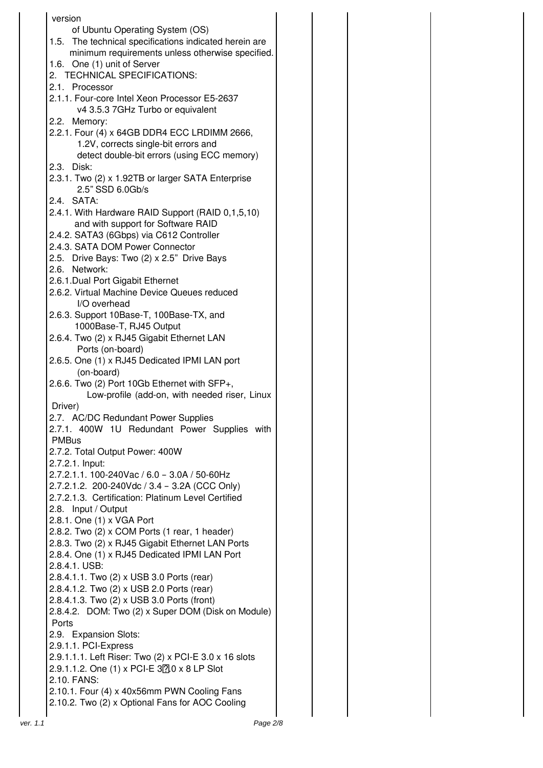| version                                                                                           |  |
|---------------------------------------------------------------------------------------------------|--|
| of Ubuntu Operating System (OS)                                                                   |  |
| 1.5. The technical specifications indicated herein are                                            |  |
| minimum requirements unless otherwise specified.<br>1.6. One (1) unit of Server                   |  |
| 2. TECHNICAL SPECIFICATIONS:                                                                      |  |
| 2.1. Processor                                                                                    |  |
| 2.1.1. Four-core Intel Xeon Processor E5-2637                                                     |  |
| v4 3.5.3 7GHz Turbo or equivalent                                                                 |  |
| 2.2. Memory:<br>2.2.1. Four (4) x 64GB DDR4 ECC LRDIMM 2666,                                      |  |
| 1.2V, corrects single-bit errors and                                                              |  |
| detect double-bit errors (using ECC memory)                                                       |  |
| 2.3. Disk:                                                                                        |  |
| 2.3.1. Two (2) x 1.92TB or larger SATA Enterprise                                                 |  |
| 2.5" SSD 6.0Gb/s<br>2.4. SATA:                                                                    |  |
| 2.4.1. With Hardware RAID Support (RAID 0,1,5,10)                                                 |  |
| and with support for Software RAID                                                                |  |
| 2.4.2. SATA3 (6Gbps) via C612 Controller                                                          |  |
| 2.4.3. SATA DOM Power Connector                                                                   |  |
| 2.5. Drive Bays: Two (2) x 2.5" Drive Bays                                                        |  |
| 2.6. Network:<br>2.6.1. Dual Port Gigabit Ethernet                                                |  |
| 2.6.2. Virtual Machine Device Queues reduced                                                      |  |
| I/O overhead                                                                                      |  |
| 2.6.3. Support 10Base-T, 100Base-TX, and                                                          |  |
| 1000Base-T, RJ45 Output                                                                           |  |
| 2.6.4. Two (2) x RJ45 Gigabit Ethernet LAN<br>Ports (on-board)                                    |  |
| 2.6.5. One (1) x RJ45 Dedicated IPMI LAN port                                                     |  |
| (on-board)                                                                                        |  |
| 2.6.6. Two (2) Port 10Gb Ethernet with SFP+,                                                      |  |
| Low-profile (add-on, with needed riser, Linux                                                     |  |
| Driver)<br>2.7. AC/DC Redundant Power Supplies                                                    |  |
| 2.7.1. 400W 1U Redundant Power Supplies with                                                      |  |
| <b>PMBus</b>                                                                                      |  |
| 2.7.2. Total Output Power: 400W                                                                   |  |
| 2.7.2.1. Input:                                                                                   |  |
| 2.7.2.1.1. 100-240Vac / 6.0 - 3.0A / 50-60Hz<br>2.7.2.1.2. 200-240Vdc / 3.4 - 3.2A (CCC Only)     |  |
| 2.7.2.1.3. Certification: Platinum Level Certified                                                |  |
| 2.8. Input / Output                                                                               |  |
| 2.8.1. One (1) x VGA Port                                                                         |  |
| 2.8.2. Two (2) x COM Ports (1 rear, 1 header)                                                     |  |
| 2.8.3. Two (2) x RJ45 Gigabit Ethernet LAN Ports<br>2.8.4. One (1) x RJ45 Dedicated IPMI LAN Port |  |
| 2.8.4.1. USB:                                                                                     |  |
| 2.8.4.1.1. Two (2) x USB 3.0 Ports (rear)                                                         |  |
| 2.8.4.1.2. Two (2) x USB 2.0 Ports (rear)                                                         |  |
| 2.8.4.1.3. Two (2) x USB 3.0 Ports (front)                                                        |  |
| 2.8.4.2. DOM: Two (2) x Super DOM (Disk on Module)<br>Ports                                       |  |
| 2.9. Expansion Slots:                                                                             |  |
| 2.9.1.1. PCI-Express                                                                              |  |
| 2.9.1.1.1. Left Riser: Two (2) x PCI-E 3.0 x 16 slots                                             |  |
| 2.9.1.1.2. One (1) x PCI-E 320 x 8 LP Slot                                                        |  |
| 2.10. FANS:<br>2.10.1. Four (4) x 40x56mm PWN Cooling Fans                                        |  |
| 2.10.2. Two (2) x Optional Fans for AOC Cooling                                                   |  |
|                                                                                                   |  |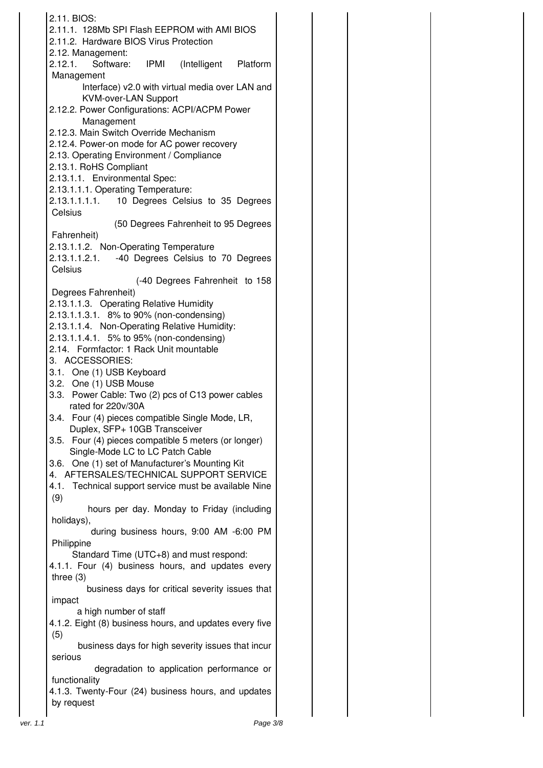|          | 2.11. BIOS:                                                                                         |
|----------|-----------------------------------------------------------------------------------------------------|
|          | 2.11.1. 128Mb SPI Flash EEPROM with AMI BIOS                                                        |
|          | 2.11.2. Hardware BIOS Virus Protection<br>2.12. Management:                                         |
|          | 2.12.1. Software: IPMI (Intelligent Platform                                                        |
|          | Management                                                                                          |
|          | Interface) v2.0 with virtual media over LAN and                                                     |
|          | <b>KVM-over-LAN Support</b><br>2.12.2. Power Configurations: ACPI/ACPM Power                        |
|          | Management                                                                                          |
|          | 2.12.3. Main Switch Override Mechanism<br>2.12.4. Power-on mode for AC power recovery               |
|          | 2.13. Operating Environment / Compliance                                                            |
|          | 2.13.1. RoHS Compliant                                                                              |
|          | 2.13.1.1. Environmental Spec:                                                                       |
|          | 2.13.1.1.1. Operating Temperature:<br>2.13.1.1.1.1. 10 Degrees Celsius to 35 Degrees                |
|          | Celsius                                                                                             |
|          | (50 Degrees Fahrenheit to 95 Degrees                                                                |
|          | Fahrenheit)                                                                                         |
|          | 2.13.1.1.2. Non-Operating Temperature<br>2.13.1.1.2.1. -40 Degrees Celsius to 70 Degrees            |
|          | Celsius                                                                                             |
|          | (-40 Degrees Fahrenheit to 158                                                                      |
|          | Degrees Fahrenheit)                                                                                 |
|          | 2.13.1.1.3. Operating Relative Humidity<br>2.13.1.1.3.1. 8% to 90% (non-condensing)                 |
|          | 2.13.1.1.4. Non-Operating Relative Humidity:                                                        |
|          | 2.13.1.1.4.1. 5% to 95% (non-condensing)                                                            |
|          | 2.14. Formfactor: 1 Rack Unit mountable                                                             |
|          | 3. ACCESSORIES:<br>3.1. One (1) USB Keyboard                                                        |
|          | 3.2. One (1) USB Mouse                                                                              |
|          | 3.3. Power Cable: Two (2) pcs of C13 power cables                                                   |
|          | rated for 220v/30A                                                                                  |
|          | 3.4. Four (4) pieces compatible Single Mode, LR,<br>Duplex, SFP+ 10GB Transceiver                   |
|          | Four (4) pieces compatible 5 meters (or longer)<br>3.5.                                             |
|          | Single-Mode LC to LC Patch Cable                                                                    |
|          | 3.6. One (1) set of Manufacturer's Mounting Kit                                                     |
|          | 4. AFTERSALES/TECHNICAL SUPPORT SERVICE<br>Technical support service must be available Nine<br>4.1. |
|          | (9)                                                                                                 |
|          | hours per day. Monday to Friday (including                                                          |
|          | holidays),<br>during business hours, 9:00 AM -6:00 PM                                               |
|          | Philippine                                                                                          |
|          | Standard Time (UTC+8) and must respond:                                                             |
|          | 4.1.1. Four (4) business hours, and updates every                                                   |
|          | three $(3)$<br>business days for critical severity issues that                                      |
|          | impact                                                                                              |
|          | a high number of staff                                                                              |
|          | 4.1.2. Eight (8) business hours, and updates every five<br>(5)                                      |
|          | business days for high severity issues that incur                                                   |
|          | serious                                                                                             |
|          | degradation to application performance or                                                           |
|          | functionality<br>4.1.3. Twenty-Four (24) business hours, and updates                                |
|          | by request                                                                                          |
| ver. 1.1 | Page 3/8                                                                                            |
|          |                                                                                                     |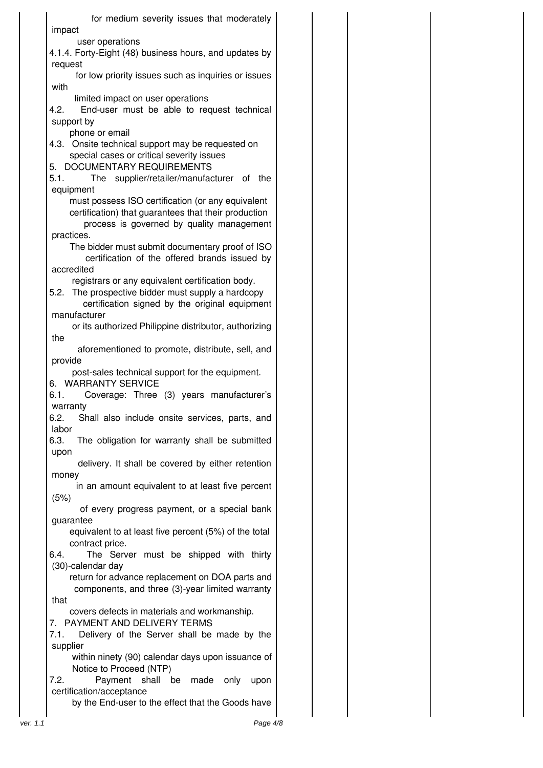for medium severity issues that moderately impact user operations 4.1.4. Forty-Eight (48) business hours, and updates by request for low priority issues such as inquiries or issues with limited impact on user operations 4.2. End-user must be able to request technical support by phone or email 4.3. Onsite technical support may be requested on special cases or critical severity issues 5. DOCUMENTARY REQUIREMENTS 5.1. The supplier/retailer/manufacturer of the equipment must possess ISO certification (or any equivalent certification) that guarantees that their production process is governed by quality management practices. The bidder must submit documentary proof of ISO certification of the offered brands issued by accredited registrars or any equivalent certification body. 5.2. The prospective bidder must supply a hardcopy certification signed by the original equipment manufacturer or its authorized Philippine distributor, authorizing the aforementioned to promote, distribute, sell, and provide post-sales technical support for the equipment. 6. WARRANTY SERVICE 6.1. Coverage: Three (3) years manufacturer's warranty 6.2. Shall also include onsite services, parts, and labor 6.3. The obligation for warranty shall be submitted upon delivery. It shall be covered by either retention money in an amount equivalent to at least five percent (5%) of every progress payment, or a special bank guarantee equivalent to at least five percent (5%) of the total contract price. 6.4. The Server must be shipped with thirty (30)-calendar day return for advance replacement on DOA parts and components, and three (3)-year limited warranty that covers defects in materials and workmanship. 7. PAYMENT AND DELIVERY TERMS 7.1. Delivery of the Server shall be made by the supplier within ninety (90) calendar days upon issuance of Notice to Proceed (NTP) 7.2. Payment shall be made only upon certification/acceptance by the End-user to the effect that the Goods have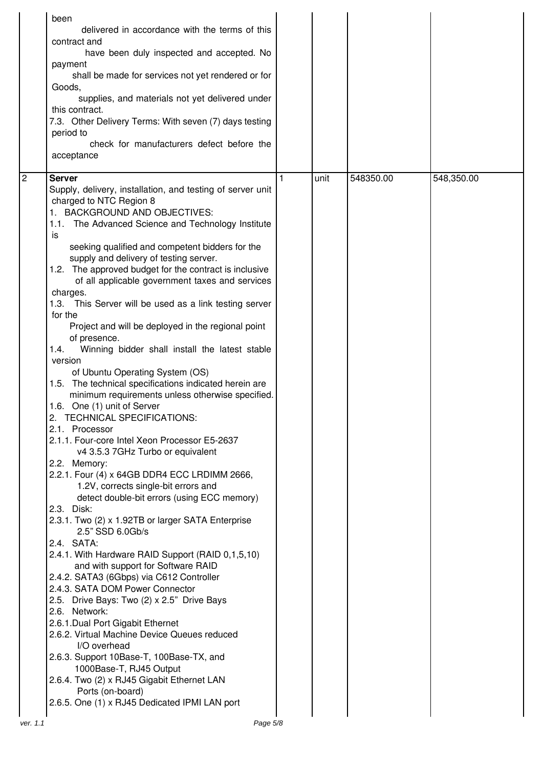|   | been<br>delivered in accordance with the terms of this<br>contract and<br>have been duly inspected and accepted. No<br>payment<br>shall be made for services not yet rendered or for<br>Goods,<br>supplies, and materials not yet delivered under<br>this contract.<br>7.3. Other Delivery Terms: With seven (7) days testing<br>period to<br>check for manufacturers defect before the<br>acceptance                                                                                                                                                                                                                                                                                                                                                                                                                                                                                                                                                                                                                                                                                                                                                                                                                                                                                                                                                                                                                                                                                                                                                                                                                                                                                                                                                                 |      |           |            |
|---|-----------------------------------------------------------------------------------------------------------------------------------------------------------------------------------------------------------------------------------------------------------------------------------------------------------------------------------------------------------------------------------------------------------------------------------------------------------------------------------------------------------------------------------------------------------------------------------------------------------------------------------------------------------------------------------------------------------------------------------------------------------------------------------------------------------------------------------------------------------------------------------------------------------------------------------------------------------------------------------------------------------------------------------------------------------------------------------------------------------------------------------------------------------------------------------------------------------------------------------------------------------------------------------------------------------------------------------------------------------------------------------------------------------------------------------------------------------------------------------------------------------------------------------------------------------------------------------------------------------------------------------------------------------------------------------------------------------------------------------------------------------------------|------|-----------|------------|
| 2 | <b>Server</b><br>Supply, delivery, installation, and testing of server unit<br>charged to NTC Region 8<br>1. BACKGROUND AND OBJECTIVES:<br>1.1. The Advanced Science and Technology Institute<br>is<br>seeking qualified and competent bidders for the<br>supply and delivery of testing server.<br>1.2. The approved budget for the contract is inclusive<br>of all applicable government taxes and services<br>charges.<br>1.3. This Server will be used as a link testing server<br>for the<br>Project and will be deployed in the regional point<br>of presence.<br>1.4.<br>Winning bidder shall install the latest stable<br>version<br>of Ubuntu Operating System (OS)<br>1.5. The technical specifications indicated herein are<br>minimum requirements unless otherwise specified.<br>1.6. One (1) unit of Server<br>2. TECHNICAL SPECIFICATIONS:<br>2.1. Processor<br>2.1.1. Four-core Intel Xeon Processor E5-2637<br>v4 3.5.3 7GHz Turbo or equivalent<br>2.2. Memory:<br>2.2.1. Four (4) x 64GB DDR4 ECC LRDIMM 2666,<br>1.2V, corrects single-bit errors and<br>detect double-bit errors (using ECC memory)<br>2.3. Disk:<br>2.3.1. Two (2) x 1.92TB or larger SATA Enterprise<br>2.5" SSD 6.0Gb/s<br>2.4. SATA:<br>2.4.1. With Hardware RAID Support (RAID 0,1,5,10)<br>and with support for Software RAID<br>2.4.2. SATA3 (6Gbps) via C612 Controller<br>2.4.3. SATA DOM Power Connector<br>2.5. Drive Bays: Two (2) x 2.5" Drive Bays<br>2.6. Network:<br>2.6.1. Dual Port Gigabit Ethernet<br>2.6.2. Virtual Machine Device Queues reduced<br>I/O overhead<br>2.6.3. Support 10Base-T, 100Base-TX, and<br>1000Base-T, RJ45 Output<br>2.6.4. Two (2) x RJ45 Gigabit Ethernet LAN<br>Ports (on-board)<br>2.6.5. One (1) x RJ45 Dedicated IPMI LAN port | unit | 548350.00 | 548,350.00 |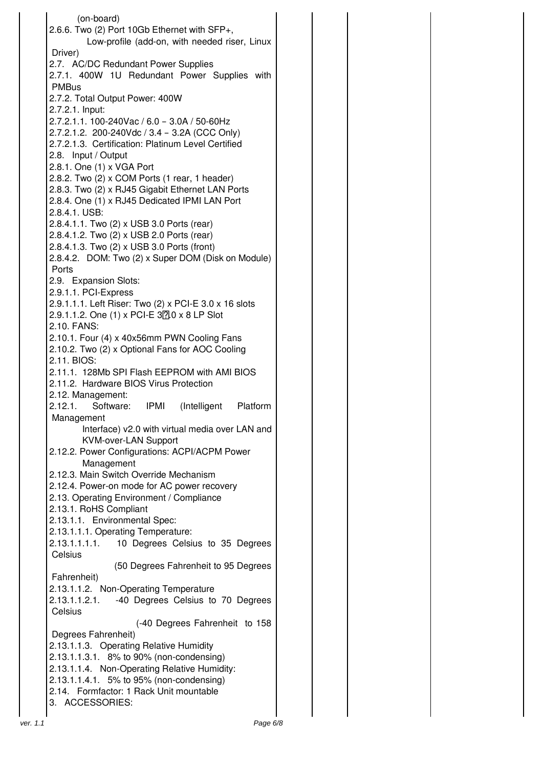(on-board) 2.6.6. Two (2) Port 10Gb Ethernet with SFP+, Low-profile (add-on, with needed riser, Linux Driver) 2.7. AC/DC Redundant Power Supplies 2.7.1. 400W 1U Redundant Power Supplies with PMBus 2.7.2. Total Output Power: 400W 2.7.2.1. Input: 2.7.2.1.1. 100-240Vac / 6.0 – 3.0A / 50-60Hz 2.7.2.1.2. 200-240Vdc / 3.4 – 3.2A (CCC Only) 2.7.2.1.3. Certification: Platinum Level Certified 2.8. Input / Output 2.8.1. One (1) x VGA Port 2.8.2. Two (2) x COM Ports (1 rear, 1 header) 2.8.3. Two (2) x RJ45 Gigabit Ethernet LAN Ports 2.8.4. One (1) x RJ45 Dedicated IPMI LAN Port 2.8.4.1. USB: 2.8.4.1.1. Two (2) x USB 3.0 Ports (rear) 2.8.4.1.2. Two (2) x USB 2.0 Ports (rear) 2.8.4.1.3. Two (2) x USB 3.0 Ports (front) 2.8.4.2. DOM: Two (2) x Super DOM (Disk on Module) Ports 2.9. Expansion Slots: 2.9.1.1. PCI-Express 2.9.1.1.1. Left Riser: Two (2) x PCI-E 3.0 x 16 slots  $2.9.1.1.2$ . One (1) x PCI-E  $37.0 \times 8$  LP Slot 2.10. FANS: 2.10.1. Four (4) x 40x56mm PWN Cooling Fans 2.10.2. Two (2) x Optional Fans for AOC Cooling 2.11. BIOS: 2.11.1. 128Mb SPI Flash EEPROM with AMI BIOS 2.11.2. Hardware BIOS Virus Protection 2.12. Management: 2.12.1. Software: IPMI (Intelligent Platform Management Interface) v2.0 with virtual media over LAN and KVM-over-LAN Support 2.12.2. Power Configurations: ACPI/ACPM Power Management 2.12.3. Main Switch Override Mechanism 2.12.4. Power-on mode for AC power recovery 2.13. Operating Environment / Compliance 2.13.1. RoHS Compliant 2.13.1.1. Environmental Spec: 2.13.1.1.1. Operating Temperature: 2.13.1.1.1.1. 10 Degrees Celsius to 35 Degrees **Celsius** (50 Degrees Fahrenheit to 95 Degrees Fahrenheit) 2.13.1.1.2. Non-Operating Temperature 2.13.1.1.2.1. -40 Degrees Celsius to 70 Degrees **Celsius** (-40 Degrees Fahrenheit to 158 Degrees Fahrenheit) 2.13.1.1.3. Operating Relative Humidity 2.13.1.1.3.1. 8% to 90% (non-condensing) 2.13.1.1.4. Non-Operating Relative Humidity: 2.13.1.1.4.1. 5% to 95% (non-condensing) 2.14. Formfactor: 1 Rack Unit mountable 3. ACCESSORIES: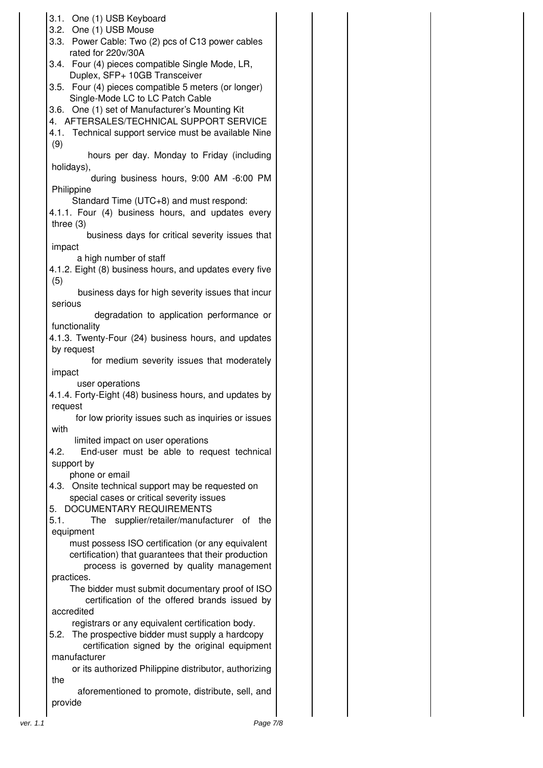|          | 3.1. One (1) USB Keyboard<br>3.2. One (1) USB Mouse<br>3.3. Power Cable: Two (2) pcs of C13 power cables<br>rated for 220v/30A<br>3.4. Four (4) pieces compatible Single Mode, LR, |  |  |
|----------|------------------------------------------------------------------------------------------------------------------------------------------------------------------------------------|--|--|
|          | Duplex, SFP+ 10GB Transceiver<br>3.5. Four (4) pieces compatible 5 meters (or longer)<br>Single-Mode LC to LC Patch Cable                                                          |  |  |
|          | 3.6. One (1) set of Manufacturer's Mounting Kit<br>4. AFTERSALES/TECHNICAL SUPPORT SERVICE<br>4.1. Technical support service must be available Nine                                |  |  |
|          | (9)<br>hours per day. Monday to Friday (including<br>holidays),                                                                                                                    |  |  |
|          | during business hours, 9:00 AM -6:00 PM<br>Philippine                                                                                                                              |  |  |
|          | Standard Time (UTC+8) and must respond:<br>4.1.1. Four (4) business hours, and updates every<br>three $(3)$                                                                        |  |  |
|          | business days for critical severity issues that<br>impact                                                                                                                          |  |  |
|          | a high number of staff<br>4.1.2. Eight (8) business hours, and updates every five<br>(5)                                                                                           |  |  |
|          | business days for high severity issues that incur<br>serious                                                                                                                       |  |  |
|          | degradation to application performance or                                                                                                                                          |  |  |
|          | functionality<br>4.1.3. Twenty-Four (24) business hours, and updates                                                                                                               |  |  |
|          | by request<br>for medium severity issues that moderately                                                                                                                           |  |  |
|          | impact<br>user operations                                                                                                                                                          |  |  |
|          | 4.1.4. Forty-Eight (48) business hours, and updates by<br>request                                                                                                                  |  |  |
|          | for low priority issues such as inquiries or issues<br>with                                                                                                                        |  |  |
|          | limited impact on user operations<br>End-user must be able to request technical<br>4.2.<br>support by                                                                              |  |  |
|          | phone or email<br>4.3. Onsite technical support may be requested on                                                                                                                |  |  |
|          | special cases or critical severity issues                                                                                                                                          |  |  |
|          | 5. DOCUMENTARY REQUIREMENTS<br>5.1.<br>The supplier/retailer/manufacturer of the                                                                                                   |  |  |
|          | equipment<br>must possess ISO certification (or any equivalent<br>certification) that guarantees that their production                                                             |  |  |
|          | process is governed by quality management<br>practices.                                                                                                                            |  |  |
|          | The bidder must submit documentary proof of ISO<br>certification of the offered brands issued by                                                                                   |  |  |
|          | accredited<br>registrars or any equivalent certification body.                                                                                                                     |  |  |
|          | The prospective bidder must supply a hardcopy<br>5.2.<br>certification signed by the original equipment                                                                            |  |  |
|          | manufacturer<br>or its authorized Philippine distributor, authorizing                                                                                                              |  |  |
|          | the<br>aforementioned to promote, distribute, sell, and                                                                                                                            |  |  |
|          | provide                                                                                                                                                                            |  |  |
| ver. 1.1 | Page 7/8                                                                                                                                                                           |  |  |